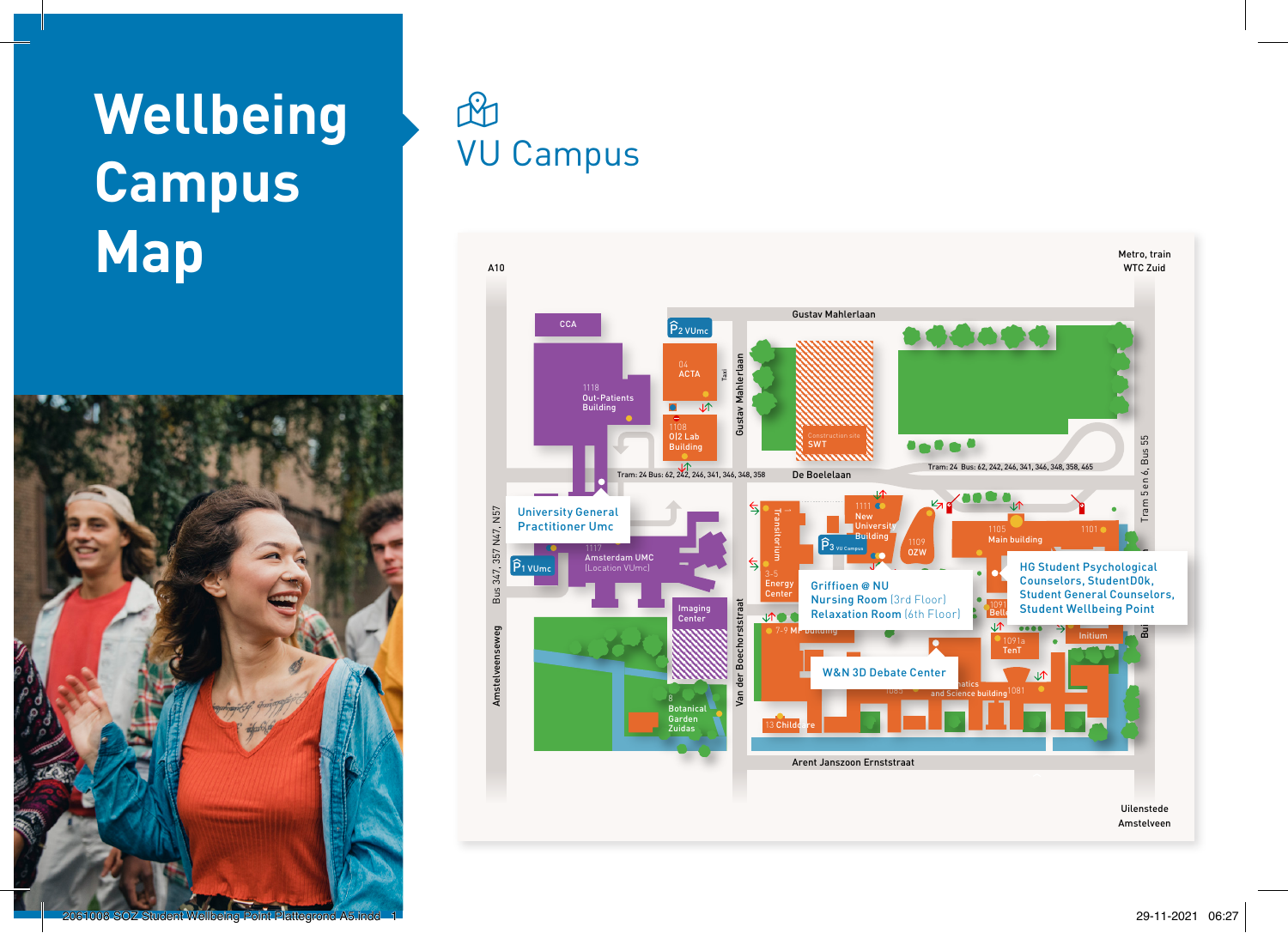## **Wellbeing Campus Map**



## $\mathbb{R}$ VU Campus